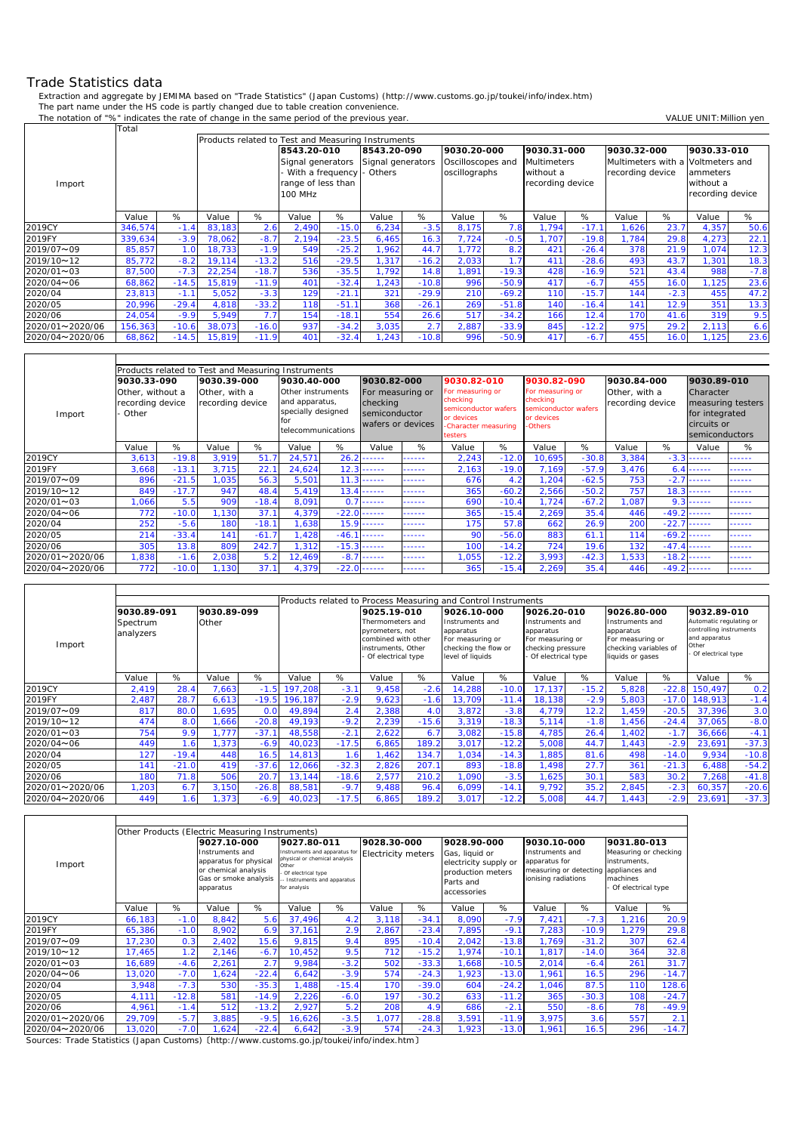## Trade Statistics data

 $\Gamma$ 

Extraction and aggregate by JEMIMA based on "Trade Statistics" (Japan Customs) (http://www.customs.go.jp/toukei/info/index.htm) The part name under the HS code is partly changed due to table creation convenience.

The notation of "%" indicates the rate of change in the same period of the previous year. VALUE UNIT: Million yen

|                   | Total   |         |        |                                                           |                    |                    |                   |         |                   |         |                    |         |                  |        |                                   |        |
|-------------------|---------|---------|--------|-----------------------------------------------------------|--------------------|--------------------|-------------------|---------|-------------------|---------|--------------------|---------|------------------|--------|-----------------------------------|--------|
|                   |         |         |        | <b>Products related to Test and Measuring Instruments</b> |                    |                    |                   |         |                   |         |                    |         |                  |        |                                   |        |
|                   |         |         |        |                                                           | 8543.20-010        |                    | 8543.20-090       |         | 9030.20-000       |         | 9030.31-000        |         | 9030.32-000      |        | 9030.33-010                       |        |
|                   |         |         |        |                                                           | Signal generators  |                    | Signal generators |         | Oscilloscopes and |         | <b>Multimeters</b> |         |                  |        | Multimeters with a Voltmeters and |        |
|                   |         |         |        |                                                           |                    | With a frequency - | Others            |         | oscillographs     |         | without a          |         | recording device |        | ammeters                          |        |
| Import            |         |         |        |                                                           | range of less than |                    |                   |         |                   |         | recording device   |         |                  |        | without a                         |        |
|                   |         |         |        |                                                           | 100 MHz            |                    |                   |         |                   |         |                    |         |                  |        | recording device                  |        |
|                   |         |         |        |                                                           |                    |                    |                   |         |                   |         |                    |         |                  |        |                                   |        |
|                   | Value   | %       | Value  | %                                                         | Value              | %                  | Value             | %       | Value             | %       | Value              | %       | Value            | %      | Value                             | %      |
| 2019CY            | 346,574 | $-1.4$  | 83,183 | 2.6                                                       | 2,490              | $-15.0$            | 6,234             | $-3.5$  | 8,175             | 7.8     | 1,794              | $-17.1$ | .626             | 23.7   | 4,357                             | 50.6   |
| 2019FY            | 339,634 | $-3.9$  | 78,062 | $-8.7$                                                    | 2,194              | $-23.5$            | 6,465             | 16.3    | 7,724             | $-0.5$  | 1.707              | $-19.8$ | 1,784            | 29.8   | 4,273                             | 22.1   |
| 2019/07~09        | 85,857  | 1.0     | 18,733 | $-1.9$                                                    | 549                | $-25.2$            | 1.962             | 44.7    | 1.772             | 8.2     | 421                | $-26.4$ | 378              | 21.9   | 1,074                             | 12.3   |
| 2019/10~12        | 85,772  | $-8.2$  | 19,114 | $-13.2$                                                   | 516                | $-29.5$            | 1,317             | $-16.2$ | 2,033             | 1.7     | 411                | $-28.6$ | 493              | 43.7   | 1,301                             | 18.3   |
| $2020/01 \sim 03$ | 87,500  | $-7.3$  | 22,254 | $-18.7$                                                   | 536                | $-35.5$            | 1,792             | 14.8    | 1,891             | $-19.3$ | 428                | $-16.9$ | 521              | 43.4   | 988                               | $-7.8$ |
| 2020/04~06        | 68,862  | $-14.5$ | 15,819 | $-11.9$                                                   | 401                | $-32.4$            | 1,243             | $-10.8$ | 996               | $-50.9$ | 417                | $-6.7$  | 455              | 16.0   | 1,125                             | 23.6   |
| 2020/04           | 23,813  | $-1.1$  | 5,052  | $-3.3$                                                    | 129                | $-21.1$            | 321               | $-29.9$ | 210               | $-69.2$ | 110                | $-15.7$ | 144              | $-2.3$ | 455                               | 47.2   |
| 2020/05           | 20,996  | $-29.4$ | 4.818  | $-33.2$                                                   | 118                | $-51.1$            | 368               | $-26.1$ | 269               | $-51.8$ | 140                | $-16.4$ | 141              | 12.9   | 351                               | 13.3   |
| 2020/06           | 24,054  | $-9.9$  | 5,949  | 7.7                                                       | 154                | $-18.1$            | 554               | 26.6    | 517               | $-34.2$ | 166                | 12.4    | 170              | 41.6   | 319                               | 9.5    |
| 2020/01~2020/06   | 156,363 | $-10.6$ | 38,073 | $-16.0$                                                   | 937                | $-34.2$            | 3,035             | 2.7     | 2,887             | $-33.9$ | 845                | $-12.2$ | 975              | 29.2   | 2,113                             | 6.6    |
| 2020/04~2020/06   | 68,862  | $-14.5$ | 15,819 | $-11.9$                                                   | 401                | $-32.4$            | 1,243             | $-10.8$ | 996               | $-50.9$ | 417                | $-6.7$  | 455              | 16.0   | 1,125                             | 23.6   |

|                 | Products related to Test and Measuring Instruments |         |                  |         |                           |                  |                                    |        |                                 |         |                             |         |                  |         |                               |                   |  |
|-----------------|----------------------------------------------------|---------|------------------|---------|---------------------------|------------------|------------------------------------|--------|---------------------------------|---------|-----------------------------|---------|------------------|---------|-------------------------------|-------------------|--|
|                 |                                                    |         |                  |         |                           |                  |                                    |        |                                 |         |                             |         |                  |         |                               |                   |  |
|                 | 9030.33-090                                        |         | 9030.39-000      |         | 9030.40-000               |                  | 9030.82-000                        |        | 9030.82-010                     |         | 9030.82-090                 |         | 9030.84-000      |         | 9030.89-010                   |                   |  |
|                 | Other, without a                                   |         | Other, with a    |         | Other instruments         |                  | For measuring or                   |        | For measuring or                |         | For measuring or            |         | Other, with a    |         | Character                     |                   |  |
|                 | recording device                                   |         | recording device |         | and apparatus,            |                  | checking                           |        | checking                        |         | checking                    |         | recording device |         |                               | measuring testers |  |
| Import          | · Other                                            |         |                  |         | specially designed<br>for |                  | semiconductor<br>wafers or devices |        | semiconductor wafers            |         | semiconductor wafers        |         |                  |         | for integrated<br>circuits or |                   |  |
|                 |                                                    |         |                  |         |                           |                  |                                    |        | or devices                      |         | or devices<br><b>Others</b> |         |                  |         |                               |                   |  |
|                 |                                                    |         |                  |         | telecommunications        |                  |                                    |        | -Character measuring<br>testers |         |                             |         |                  |         | semiconductors                |                   |  |
|                 | Value                                              | %       | Value            | %       | Value                     | %                | Value                              | %      | Value                           | %       | Value                       | %       | Value            | %       | Value                         | %                 |  |
| 2019CY          | 3,613                                              | $-19.8$ | 3,919            | 51.7    | 24,571                    | 26.              | -----                              | ------ | 2,243                           | $-12.0$ | 10,695                      | $-30.8$ | 3,384            | $-3.3$  | ------                        | ------            |  |
| 2019FY          | 3,668                                              | $-13.1$ | 3,715            | 22.1    | 24,624                    | 12.3             | -----                              | ------ | 2,163                           | $-19.0$ | 7,169                       | $-57.9$ | 3,476            | 6.4     | ------                        | ------            |  |
| 2019/07~09      | 896                                                | $-21.5$ | 1,035            | 56.3    | 5,501                     | 11               | -----                              | ------ | 676                             | 4.2     | 1,204                       | $-62.5$ | 753              | $-2.7$  | .                             | ------            |  |
| 2019/10~12      | 849                                                | $-17.7$ | 947              | 48.4    | 5,419                     | 13.              | -----                              | ------ | 365                             | $-60.2$ | 2,566                       | $-50.2$ | 757              | 18.3    |                               | ------            |  |
| 2020/01~03      | .066                                               | 5.5     | 909              | $-18.4$ | 8,091                     | $\Omega$         | -----                              | ------ | 690                             | $-10.4$ | 1,724                       | $-67.2$ | 1,087            | 9.3     | ------                        | ------            |  |
| 2020/04~06      | 772                                                | $-10.0$ | 1,130            | 37.1    | 4,379                     | $-22.0$          | -----                              | ------ | 365                             | $-15.4$ | 2,269                       | 35.4    | 446              | $-49.2$ | ------                        | ------            |  |
| 2020/04         | 252                                                | $-5.6$  | 180              | $-18.1$ | ,638                      | 15.9             | -----                              | ------ | 175                             | 57.8    | 662                         | 26.9    | 200              | $-22.7$ | ------                        | ------            |  |
| 2020/05         | 214                                                | $-33.4$ | 141              | $-61.7$ | 1,428                     | $-46.$           | -----                              | ------ | 90                              | $-56.0$ | 883                         | 61.1    | 114              | $-69.2$ | ------                        | ------            |  |
| 2020/06         | 305                                                | 13.8    | 809              | 242.7   | .312                      | $-15.3$          | ------                             | ------ | 100                             | $-14.2$ | 724                         | 19.6    | 132              |         | $-47.4$ ------                | ------            |  |
| 2020/01~2020/06 | ,838                                               | $-1.6$  | 2,038            | 5.2     | 12,469                    | $-8.$            | -----                              | ------ | 1,055                           | $-12.2$ | 3,993                       | $-42.3$ | ,533             | $-18.2$ | ------                        | ------            |  |
| 2020/04~2020/06 | 772                                                | $-10.0$ | 1,130            | 37.1    | 4,379                     | $-22.0$<br>----- |                                    | ------ | 365                             | $-15.4$ | 2,269                       | 35.4    | 446              |         | $-49.2$ ------                | ------            |  |

|                   |                                |         | Products related to Process Measuring and Control Instruments |                          |                                                                                                        |         |                                                                                              |         |                                                                                             |         |                                                                                               |         |                                                                                                    |         |             |         |
|-------------------|--------------------------------|---------|---------------------------------------------------------------|--------------------------|--------------------------------------------------------------------------------------------------------|---------|----------------------------------------------------------------------------------------------|---------|---------------------------------------------------------------------------------------------|---------|-----------------------------------------------------------------------------------------------|---------|----------------------------------------------------------------------------------------------------|---------|-------------|---------|
|                   |                                |         |                                                               |                          |                                                                                                        |         |                                                                                              |         |                                                                                             |         |                                                                                               |         |                                                                                                    |         |             |         |
|                   | 9030.89-091                    |         | 9030.89-099                                                   |                          |                                                                                                        |         | 9025.19-010                                                                                  |         | 9026.10-000                                                                                 |         | 9026.20-010                                                                                   |         | 9026.80-000                                                                                        |         | 9032.89-010 |         |
| Import            | Other<br>Spectrum<br>analyzers |         |                                                               |                          | Thermometers and<br>pyrometers, not<br>combined with other<br>instruments, Other<br>Of electrical type |         | Instruments and<br>apparatus<br>For measuring or<br>checking the flow or<br>level of liquids |         | Instruments and<br>apparatus<br>For measuring or<br>checking pressure<br>Of electrical type |         | Instruments and<br>apparatus<br>For measuring or<br>checking variables of<br>liquids or gases |         | Automatic regulating or<br>controlling instruments<br>and apparatus<br>Other<br>Of electrical type |         |             |         |
|                   | Value                          | %       | Value                                                         | %                        | Value                                                                                                  | %       | Value                                                                                        | %       | Value                                                                                       | %       | Value                                                                                         | %       | Value                                                                                              | %       | Value       | %       |
| 2019CY            | 2,419                          | 28.4    | 7,663                                                         | $-1.5$                   | 197,208                                                                                                | $-3.1$  | 9.458                                                                                        | $-2.6$  | 14,288                                                                                      | $-10.0$ | 17.137                                                                                        | $-15.2$ | 5,828                                                                                              | $-22.8$ | 150.497     | 0.2     |
| 2019FY            | 2,487                          | 28.7    | 6,613                                                         | $-19.5$                  | 196.187                                                                                                | $-2.9$  | 9,623                                                                                        | $-1.6$  | 13.709                                                                                      | $-11.4$ | 18.138                                                                                        | $-2.9$  | 5,803                                                                                              | $-17.0$ | 148.913     | $-1.4$  |
| 2019/07~09        | 817                            | 80.0    | .695                                                          | 0. <sub>C</sub>          | 49,894                                                                                                 | 2.4     | 2,388                                                                                        | 4.0     | 3,872                                                                                       | $-3.8$  | 4,779                                                                                         | 12.2    | .459                                                                                               | $-20.5$ | 37,396      | 3.0     |
| 2019/10~12        | 474                            | 8.0     | .666                                                          | $-20.8$                  | 49,193                                                                                                 | $-9.2$  | 2,239                                                                                        | $-15.6$ | 3,319                                                                                       | $-18.3$ | 5,114                                                                                         | $-1.8$  | .456                                                                                               | $-24.4$ | 37,065      | $-8.0$  |
| $2020/01 \sim 03$ | 754                            | 9.9     | 777                                                           | $-37.1$                  | 48,558                                                                                                 | $-2.1$  | 2,622                                                                                        | 6.7     | 3,082                                                                                       | $-15.8$ | 4,785                                                                                         | 26.4    | .402                                                                                               | $-1.7$  | 36,666      | $-4.1$  |
| 2020/04~06        | 449                            | .6      | ,373                                                          | $-6.9$                   | 40,023                                                                                                 | $-17.5$ | 6,865                                                                                        | 189.2   | 3,017                                                                                       | $-12.2$ | 5,008                                                                                         | 44.7    | ,443                                                                                               | $-2.9$  | 23,691      | $-37.3$ |
| 2020/04           | 127                            | $-19.4$ | 448                                                           | 16.5                     | 14,813                                                                                                 | -6      | ,462                                                                                         | 134.    | 1,034                                                                                       | $-14.3$ | 1,885                                                                                         | 81.6    | 498                                                                                                | $-14.0$ | 9,934       | $-10.8$ |
| 2020/05           | 141                            | $-21.0$ | 419                                                           | $-37.6$                  | 12,066                                                                                                 | $-32.3$ | 2,826                                                                                        | 207.7   | 893                                                                                         | $-18.8$ | 1.498                                                                                         | 27.7    | 361                                                                                                | $-21.3$ | 6,488       | $-54.2$ |
| 2020/06           | 18 <sub>C</sub>                | 71.8    | 506                                                           | 20.7                     | 13.144                                                                                                 | $-18.6$ | 2.577                                                                                        | 210.2   | .090                                                                                        | $-3.5$  | .625                                                                                          | 30.1    | 583                                                                                                | 30.2    | 7.268       | $-41.8$ |
| 2020/01~2020/06   | ,203                           | 6.7     | 3,150                                                         | $-26.8$                  | 88,581                                                                                                 | $-9.7$  | 9,488                                                                                        | 96.     | 6,099                                                                                       | $-14.1$ | 9,792                                                                                         | 35.2    | 2,845                                                                                              | $-2.3$  | 60,357      | $-20.6$ |
| 2020/04~2020/06   | 449                            | l .61   |                                                               | .373<br>40,023<br>$-6.9$ |                                                                                                        | $-17.5$ | 6.865                                                                                        | 189.2   | 3,017                                                                                       | $-12.2$ | 5,008                                                                                         | 44.7    | .443                                                                                               | $-2.9$  | 23,691      | $-37.3$ |

|                 | Other Products (Electric Measuring Instruments) |                           |                                                                                                         |         |                                                                                                                                              |         |                           |         |                                                                                          |         |                                                                                   |         |                                                                                             |         |
|-----------------|-------------------------------------------------|---------------------------|---------------------------------------------------------------------------------------------------------|---------|----------------------------------------------------------------------------------------------------------------------------------------------|---------|---------------------------|---------|------------------------------------------------------------------------------------------|---------|-----------------------------------------------------------------------------------|---------|---------------------------------------------------------------------------------------------|---------|
|                 |                                                 |                           | 9027.10-000                                                                                             |         | 9027.80-011                                                                                                                                  |         | 9028.30-000               |         | 9028.90-000                                                                              |         | 9030.10-000                                                                       |         | 9031.80-013                                                                                 |         |
| Import          |                                                 |                           | Instruments and<br>apparatus for physical<br>or chemical analysis<br>Gas or smoke analysis<br>apparatus |         | Instruments and apparatus for<br>physical or chemical analysis<br>Other<br>Of electrical type<br>- Instruments and apparatus<br>for analysis |         | <b>Electricity meters</b> |         | Gas, liquid or<br>electricity supply or<br>production meters<br>Parts and<br>accessories |         | Instruments and<br>apparatus for<br>measuring or detecting<br>ionising radiations |         | Measuring or checking<br>instruments,<br>appliances and<br>machines<br>- Of electrical type |         |
|                 | Value                                           | %                         | Value                                                                                                   | %       | Value                                                                                                                                        | %       | Value                     | %       | Value                                                                                    | %       | Value                                                                             | %       | Value                                                                                       | %       |
| 2019CY          | 66,183                                          | $-1.0$                    | 8,842                                                                                                   | 5.6     | 37.496                                                                                                                                       | 4.2     | 3,118                     | $-34.1$ | 8,090                                                                                    | $-7.9$  | 7,421                                                                             | $-7.3$  | 1,216                                                                                       | 20.9    |
| 2019FY          | 65,386                                          | $-1.0$                    | 8,902                                                                                                   | 6.9     | 37,161                                                                                                                                       | 2.9     | 2,867                     | $-23.4$ | 7,895                                                                                    | $-9.1$  | 7,283                                                                             | $-10.9$ | 1,279                                                                                       | 29.8    |
| 2019/07~09      | 17,230                                          | 0.3                       | 2,402                                                                                                   | 15.6    | 9,815                                                                                                                                        | 9.4     | 895                       | $-10.4$ | 2,042                                                                                    | $-13.8$ | 1.769                                                                             | $-31.2$ | 307                                                                                         | 62.4    |
| 2019/10~12      | 17,465                                          | 1.2                       | 2,146                                                                                                   | $-6.7$  | 10.452                                                                                                                                       | 9.5     | 712                       | $-15.2$ | 1,974                                                                                    | $-10.1$ | 1,817                                                                             | $-14.0$ | 364                                                                                         | 32.8    |
| 2020/01~03      | 16,689                                          | $-4.6$                    | 2,261                                                                                                   | 2.7     | 9,984                                                                                                                                        | $-3.2$  | 502                       | $-33.3$ | 1,668                                                                                    | $-10.5$ | 2,014                                                                             | $-6.4$  | 261                                                                                         | 31.7    |
| 2020/04~06      | 13,020                                          | $-7.0$                    | ,624                                                                                                    | $-22.4$ | 6,642                                                                                                                                        | $-3.9$  | 574                       | $-24.3$ | 1,923                                                                                    | $-13.0$ | 1,961                                                                             | 16.5    | 296                                                                                         | $-14.7$ |
| 2020/04         | 3,948                                           | $-7.3$                    | 530                                                                                                     | $-35.3$ | 1,488                                                                                                                                        | $-15.4$ | 170                       | $-39.0$ | 604                                                                                      | $-24.2$ | 1,046                                                                             | 87.5    | 110                                                                                         | 128.6   |
| 2020/05         | 4,111                                           | $-12.8$                   | 581                                                                                                     | $-14.9$ | 2,226                                                                                                                                        | $-6.0$  | 197                       | $-30.2$ | 633                                                                                      | $-11.2$ | 365                                                                               | $-30.3$ | 108                                                                                         | $-24.7$ |
| 2020/06         | 4,961                                           | $-1.4$                    | 512                                                                                                     | $-13.2$ | 2,927                                                                                                                                        | 5.2     | 208                       | 4.9     | 686                                                                                      | $-2.1$  | 550                                                                               | $-8.6$  | 78                                                                                          | $-49.9$ |
| 2020/01~2020/06 | 29,709                                          | $-5.7$                    | 3,885                                                                                                   | $-9.5$  | 16,626                                                                                                                                       | $-3.5$  | 1,077                     | $-28.8$ | 3,591                                                                                    | $-11.9$ | 3,975                                                                             | 3.6     | 557                                                                                         | 2.1     |
| 2020/04~2020/06 | 13,020                                          | $-7.0$<br>$-22.4$<br>,624 |                                                                                                         |         | 6,642                                                                                                                                        | $-3.9$  | 574                       | $-24.3$ | 1,923                                                                                    | $-13.0$ | 1,961                                                                             | 16.5    | 296                                                                                         | $-14.7$ |

Sources: Trade Statistics (Japan Customs) 〔http://www.customs.go.jp/toukei/info/index.htm〕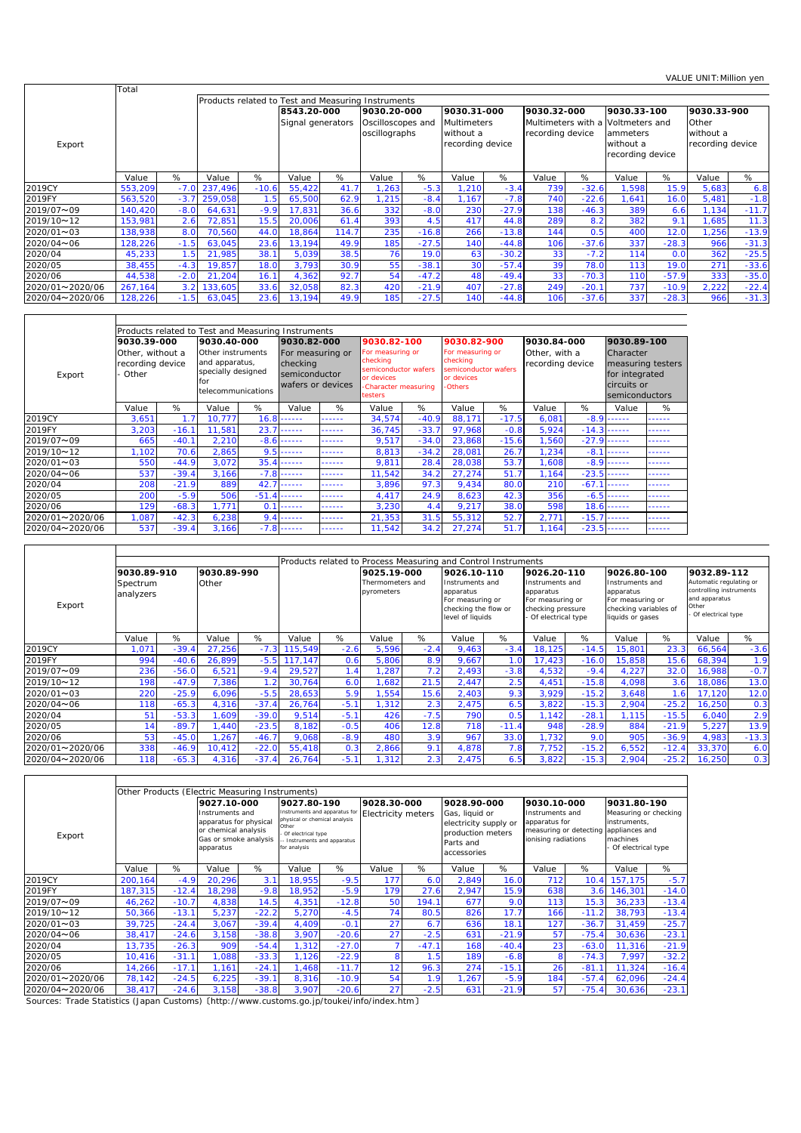|                 | Total   |        |         |                                                    |                                  |       |                                                   |         |                                                                    |         |                                                       |         |                                                                            |         |                                                       |         |  |
|-----------------|---------|--------|---------|----------------------------------------------------|----------------------------------|-------|---------------------------------------------------|---------|--------------------------------------------------------------------|---------|-------------------------------------------------------|---------|----------------------------------------------------------------------------|---------|-------------------------------------------------------|---------|--|
|                 |         |        |         | Products related to Test and Measuring Instruments |                                  |       |                                                   |         |                                                                    |         |                                                       |         |                                                                            |         |                                                       |         |  |
| Export          |         |        |         |                                                    | 8543.20-000<br>Signal generators |       | 9030.20-000<br>Oscilloscopes and<br>oscillographs |         | 9030.31-000<br><b>Multimeters</b><br>without a<br>recording device |         | 9030.32-000<br>Multimeters with a<br>recording device |         | 9030.33-100<br>Voltmeters and<br>ammeters<br>without a<br>recording device |         | 9030.33-900<br>Other<br>without a<br>recording device |         |  |
|                 | Value   | %      | Value   | %                                                  | Value                            | %     | Value                                             | %       | Value                                                              | %       | Value                                                 | %       | Value                                                                      | %       | Value                                                 | %       |  |
| 2019CY          | 553,209 | $-7.0$ | 237,496 | $-10.6$                                            | 55,422                           | 41.7  | , 263                                             | $-5.3$  | 1,210                                                              | $-3.4$  | 739                                                   | $-32.6$ | ,598                                                                       | 15.9    | 5,683                                                 | 6.8     |  |
| 2019FY          | 563,520 | $-3.7$ | 259,058 | 1.5                                                | 65,500                           | 62.9  | ,215                                              | $-8.4$  | 1.167                                                              | $-7.8$  | 740                                                   | $-22.6$ | .641                                                                       | 16.0    | 5,481                                                 | $-1.8$  |  |
| 2019/07~09      | 140,420 | $-8.0$ | 64,631  | $-9.9$                                             | 17,831                           | 36.6  | 332                                               | $-8.0$  | 230                                                                | $-27.9$ | 138                                                   | $-46.3$ | 389                                                                        | 6.6     | 1,134                                                 | $-11.7$ |  |
| 2019/10~12      | 153,981 | 2.6    | 72,851  | 15.5                                               | 20,006                           | 61.4  | 393                                               | 4.5     | 417                                                                | 44.8    | 289                                                   | 8.2     | 382                                                                        | 9.1     | 1,685                                                 | 11.3    |  |
| 2020/01~03      | 138,938 | 8.0    | 70,560  | 44.0                                               | 18,864                           | 114.7 | 235                                               | $-16.8$ | 266                                                                | $-13.8$ | 144                                                   | 0.5     | 400                                                                        | 12.0    | 1,256                                                 | $-13.9$ |  |
| 2020/04~06      | 128,226 | $-1.5$ | 63,045  | 23.6                                               | 13,194                           | 49.9  | 185                                               | $-27.5$ | 140                                                                | $-44.8$ | 106                                                   | $-37.6$ | 337                                                                        | $-28.3$ | 966                                                   | $-31.3$ |  |
| 2020/04         | 45,233  | 1.5    | 21,985  | 38.1                                               | 5,039                            | 38.5  | 76                                                | 19.0    | 63                                                                 | $-30.2$ | 33                                                    | $-7.2$  | 114                                                                        | 0.0     | 362                                                   | $-25.5$ |  |
| 2020/05         | 38.455  | $-4.3$ | 19.857  | 18.0                                               | 3.793                            | 30.9  | 55                                                | $-38.1$ | 30 <sub>l</sub>                                                    | $-57.4$ | 39                                                    | 78.0    | 113                                                                        | 19.0    | 271                                                   | $-33.6$ |  |
| 2020/06         | 44,538  | $-2.0$ | 21,204  | 16.1                                               | 4,362                            | 92.7  | 54                                                | $-47.2$ | 48                                                                 | $-49.4$ | 33                                                    | $-70.3$ | 110                                                                        | $-57.9$ | 333                                                   | $-35.0$ |  |
| 2020/01~2020/06 | 267,164 | 3.2    | 133,605 | 33.6                                               | 32,058                           | 82.3  | 420                                               | $-21.9$ | 407                                                                | $-27.8$ | 249                                                   | $-20.7$ | 737                                                                        | $-10.9$ | 2,222                                                 | $-22.4$ |  |
| 2020/04~2020/06 | 128,226 | $-1.5$ | 63,045  | 23.6                                               | 13,194                           | 49.9  | 185                                               | $-27.5$ | 140                                                                | $-44.8$ | 106                                                   | $-37.6$ | 337                                                                        | $-28.3$ | 966                                                   | $-31.3$ |  |

|                 |                  |                    | Products related to Test and Measuring Instruments |                  |                   |        |                                    |         |                                    |         |                  |         |                                                 |        |
|-----------------|------------------|--------------------|----------------------------------------------------|------------------|-------------------|--------|------------------------------------|---------|------------------------------------|---------|------------------|---------|-------------------------------------------------|--------|
|                 | 9030.39-000      |                    | 9030.40-000                                        |                  | 9030.82-000       |        | 9030.82-100                        |         | 9030.82-900                        |         | 9030.84-000      |         | 9030.89-100                                     |        |
|                 | Other, without a |                    | Other instruments                                  |                  | For measuring or  |        | For measuring or                   |         | For measuring or                   |         | Other, with a    |         | Character                                       |        |
|                 | recording device |                    | and apparatus,                                     |                  | checking          |        | checking                           |         | checking                           |         | recording device |         | measuring testers                               |        |
| Export          | Other            | specially designed |                                                    |                  | semiconductor     |        | semiconductor wafers<br>or devices |         | semiconductor wafers<br>or devices |         |                  |         | for integrated<br>circuits or<br>semiconductors |        |
|                 |                  |                    | for                                                |                  | wafers or devices |        | -Character measuring               |         | <b>Others</b>                      |         |                  |         |                                                 |        |
|                 |                  |                    | telecommunications                                 |                  |                   |        | <b>testers</b>                     |         |                                    |         |                  |         |                                                 |        |
|                 | Value            | %                  | Value                                              | %                | Value             | %      | Value                              | %       | Value                              | %       | Value            | %       | Value                                           | %      |
| 2019CY          | 3,651            | 1.7                | 10.777                                             | 16.8             | .                 | ------ | 34,574                             | $-40.9$ | 88.171                             | $-17.5$ | 6,081            | $-8.9$  | ------                                          | ------ |
| 2019FY          | 3.203            | $-16.1$            | 11.581                                             | 23.7             | ------            | ------ | 36.745                             | $-33.7$ | 97.968                             | $-0.8$  | 5,924            | $-14.3$ | ------                                          | ------ |
| 2019/07~09      | 665              | $-40.1$            | 2,210                                              | $-8.6$           | ------            | ------ | 9,517                              | $-34.0$ | 23.868                             | $-15.6$ | 1,560            | $-27.9$ | ------                                          | ------ |
| 2019/10~12      | 1.102            | 70.6               | 2,865                                              | 9.5              | ------            | ------ | 8,813                              | $-34.2$ | 28,081                             | 26.7    | 1,234            | $-8.7$  | ------                                          | ------ |
| 2020/01~03      | 550              | $-44.9$            | 3,072                                              | 35.4             | ------            | ------ | 9,811                              | 28.4    | 28,038                             | 53.7    | 1,608            | $-8.9$  | ------                                          | ------ |
| 2020/04~06      | 537              | $-39.4$            | 3,166                                              | $-7.8$           | ------            | ------ | 11,542                             | 34.2    | 27,274                             | 51.7    | 1,164            | $-23.5$ | ------                                          | ------ |
| 2020/04         | 208              | $-21.9$            | 889                                                | 42.              | ------            | ------ | 3,896                              | 97.3    | 9,434                              | 80.0    | 210              | $-67.7$ | ------                                          | .      |
| 2020/05         | 200              | $-5.9$             | 506                                                | $-51.4$          | ------            | ------ | 4,417                              | 24.9    | 8,623                              | 42.3    | 356              | $-6.5$  | ------                                          | ------ |
| 2020/06         | 129              | $-68.3$            | 1.771                                              | 0.1              | .                 | ------ | 3,230                              | 4.4     | 9.217                              | 38.0    | 598              |         | $18.6$ ------                                   | ------ |
| 2020/01~2020/06 | 1,087            | $-42.3$            | 6,238                                              | 9.4              | ------            | ------ | 21,353                             | 31.5    | 55.312                             | 52.7    | 2.771            | $-15.7$ | ------                                          | .      |
| 2020/04~2020/06 | 537              | $-39.4$            | 3,166                                              | $-7.8$<br>------ |                   | ------ | 11,542                             | 34.2    | 27.274                             | 51.7    | 1.164            | $-23.5$ | ------                                          | ------ |

|                 |                       |         |             |         |         |                 |                                |        | Products related to Process Measuring and Control Instruments                                |         |                                                                                             |         |                                                                                               |         |                                                                                                      |         |
|-----------------|-----------------------|---------|-------------|---------|---------|-----------------|--------------------------------|--------|----------------------------------------------------------------------------------------------|---------|---------------------------------------------------------------------------------------------|---------|-----------------------------------------------------------------------------------------------|---------|------------------------------------------------------------------------------------------------------|---------|
|                 | 9030.89-910           |         | 9030.89-990 |         |         |                 | 9025.19-000                    |        | 9026.10-110                                                                                  |         | 9026.20-110                                                                                 |         | 9026.80-100                                                                                   |         | 9032.89-112                                                                                          |         |
| Export          | Spectrum<br>analyzers |         | Other       |         |         |                 | Thermometers and<br>pyrometers |        | Instruments and<br>apparatus<br>For measuring or<br>checking the flow or<br>level of liquids |         | Instruments and<br>apparatus<br>For measuring or<br>checking pressure<br>Of electrical type |         | Instruments and<br>apparatus<br>For measuring or<br>checking variables of<br>liquids or gases |         | Automatic regulating or<br>controlling instruments<br>and apparatus<br>Other<br>- Of electrical type |         |
|                 | Value                 | %       | Value       | %       | Value   | %               | Value                          | %      | Value                                                                                        | %       | Value                                                                                       | %       | Value                                                                                         | %       | Value                                                                                                | %       |
| 2019CY          | .07                   | $-39.4$ | 27,256      | $-7.3$  | 115,549 | $-2.6$          | 5,596                          | $-2.4$ | 9,463                                                                                        | $-3.4$  | 18,125                                                                                      | $-14.5$ | 15,801                                                                                        | 23.3    | 66,564                                                                                               | $-3.6$  |
| 2019FY          | 994                   | $-40.6$ | 26,899      | $-5.5$  | 117.147 | 0.6             | 5,806                          | 8.9    | 9,667                                                                                        | 1.0     | 17,423                                                                                      | $-16.0$ | 15,858                                                                                        | 15.6    | 68,394                                                                                               | 1.9     |
| 2019/07~09      | 236                   | $-56.0$ | 6,521       | $-9.4$  | 29,527  |                 | ,287                           |        | 2,493                                                                                        | $-3.8$  | 4,532                                                                                       | $-9.4$  | 4,227                                                                                         | 32.0    | 16,988                                                                                               | $-0.7$  |
| 2019/10~12      | 198                   | $-47.9$ | 7,386       | 1.2     | 30,764  | 6. <sub>C</sub> | ,682                           | 21.5   | 2,447                                                                                        | 2.5     | 4,451                                                                                       | $-15.8$ | 4,098                                                                                         | 3.6     | 18,086                                                                                               | 13.0    |
| 2020/01~03      | 220                   | $-25.9$ | 6,096       | $-5.5$  | 28,653  | 5.9             | ,554                           | 15.6   | 2,403                                                                                        | 9.3     | 3,929                                                                                       | $-15.2$ | 3,648                                                                                         | 1.6     | 17,120                                                                                               | 12.0    |
| 2020/04~06      | 118                   | $-65.3$ | 4,316       | $-37.4$ | 26,764  | $-5.1$          | , 312                          | 2.3    | 2,475                                                                                        | 6.5     | 3,822                                                                                       | $-15.3$ | 2,904                                                                                         | $-25.2$ | 16,250                                                                                               | 0.3     |
| 2020/04         | 51                    | $-53.3$ | 1,609       | $-39.0$ | 9,514   | $-5.1$          | 426                            | $-7.5$ | 790                                                                                          | 0.5     | 1.142                                                                                       | $-28.1$ | 1.115                                                                                         | $-15.5$ | 6,040                                                                                                | 2.9     |
| 2020/05         | 14                    | $-89.7$ | 1,440       | $-23.5$ | 8,182   | $-0.5$          | 406                            | 12.8   | 718                                                                                          | $-11.4$ | 948                                                                                         | $-28.9$ | 884                                                                                           | $-21.9$ | 5,227                                                                                                | 13.9    |
| 2020/06         | 53                    | $-45.0$ | 1,267       | $-46.7$ | 9,068   | $-8.9$          | 480                            | 3.9    | 967                                                                                          | 33.0    | ,732                                                                                        | 9.0     | 905                                                                                           | $-36.9$ | 4,983                                                                                                | $-13.3$ |
| 2020/01~2020/06 | 338                   | $-46.9$ | 10,412      | $-22.0$ | 55,418  | 0.3             | 2,866                          | 9.1    | 4,878                                                                                        | 7.8     | 7,752                                                                                       | $-15.2$ | 6,552                                                                                         | $-12.4$ | 33,370                                                                                               | 6.0     |
| 2020/04~2020/06 | 118                   | $-65.3$ | 4,316       | $-37.4$ | 26,764  | $-5.1$          | .312                           | 2.3    | 2,475                                                                                        | 6.5     | 3,822                                                                                       | $-15.3$ | 2,904                                                                                         | $-25.2$ | 16,250                                                                                               | 0.3     |

|                 |                                       | Other Products (Electric Measuring Instruments)<br>9028.90-000<br>9028.30-000<br>9030.10-000<br>9031.80-190<br>9027.10-000<br>9027.80-190 |                                                                                                         |         |                                                                                                                                               |         |                           |         |                                                                                          |         |                                                                                   |         |                                                                                           |         |  |
|-----------------|---------------------------------------|-------------------------------------------------------------------------------------------------------------------------------------------|---------------------------------------------------------------------------------------------------------|---------|-----------------------------------------------------------------------------------------------------------------------------------------------|---------|---------------------------|---------|------------------------------------------------------------------------------------------|---------|-----------------------------------------------------------------------------------|---------|-------------------------------------------------------------------------------------------|---------|--|
|                 |                                       |                                                                                                                                           |                                                                                                         |         |                                                                                                                                               |         |                           |         |                                                                                          |         |                                                                                   |         |                                                                                           |         |  |
| Export          |                                       |                                                                                                                                           | Instruments and<br>apparatus for physical<br>or chemical analysis<br>Gas or smoke analysis<br>apparatus |         | Instruments and apparatus for<br>physical or chemical analysis<br>Other<br>Of electrical type<br>-- Instruments and apparatus<br>for analysis |         | <b>Electricity meters</b> |         | Gas, liquid or<br>electricity supply or<br>production meters<br>Parts and<br>accessories |         | Instruments and<br>apparatus for<br>measuring or detecting<br>ionising radiations |         | Measuring or checking<br>instruments,<br>appliances and<br>machines<br>Of electrical type |         |  |
|                 | Value                                 | %                                                                                                                                         | Value                                                                                                   | %       | Value                                                                                                                                         | %       | Value                     | %       | Value                                                                                    | %       | Value                                                                             | %       | Value                                                                                     | %       |  |
| 2019CY          | 200.164                               | $-4.9$                                                                                                                                    | 20,296                                                                                                  | 3.1     | 18.955                                                                                                                                        | $-9.5$  | 177                       | 6.0     | 2,849                                                                                    | 16.0    | 712                                                                               |         | 10.4 157,175                                                                              | $-5.7$  |  |
| 2019FY          | 187,315                               | $-12.4$                                                                                                                                   | 18,298                                                                                                  | $-9.8$  | 18,952                                                                                                                                        | $-5.9$  | 179                       | 27.6    | 2,947                                                                                    | 15.9    | 638                                                                               |         | 3.6 146,301                                                                               | $-14.0$ |  |
| 2019/07~09      | 46,262                                | $-10.7$                                                                                                                                   | 4,838                                                                                                   | 14.5    | 4,351                                                                                                                                         | $-12.8$ | 50                        | 194.1   | 677                                                                                      | 9.0     | 113                                                                               | 15.3    | 36,233                                                                                    | $-13.4$ |  |
| 2019/10~12      | 50,366                                | $-13.1$                                                                                                                                   | 5,237                                                                                                   | $-22.2$ | 5,270                                                                                                                                         | $-4.5$  | 74                        | 80.5    | 826                                                                                      | 17.7    | 166                                                                               | $-11.2$ | 38,793                                                                                    | $-13.4$ |  |
| 2020/01~03      | 39,725                                | $-24.4$                                                                                                                                   | 3,067                                                                                                   | $-39.4$ | 4,409                                                                                                                                         | $-0.1$  | 27                        | 6.7     | 636                                                                                      | 18.1    | 127                                                                               | $-36.7$ | 31,459                                                                                    | $-25.7$ |  |
| 2020/04~06      | 38,417                                | $-24.6$                                                                                                                                   | 3,158                                                                                                   | $-38.8$ | 3,907                                                                                                                                         | $-20.6$ | 27                        | $-2.5$  | 631                                                                                      | $-21.9$ | 57                                                                                | $-75.4$ | 30,636                                                                                    | $-23.1$ |  |
| 2020/04         | 13,735                                | $-26.3$                                                                                                                                   | 909                                                                                                     | $-54.4$ | 1,312                                                                                                                                         | $-27.0$ |                           | $-47.1$ | 168                                                                                      | $-40.4$ | 23                                                                                | $-63.0$ | 11,316                                                                                    | $-21.9$ |  |
| 2020/05         | 10,416                                | $-31.1$                                                                                                                                   | ,088                                                                                                    | $-33.3$ | 1,126                                                                                                                                         | $-22.9$ | 8                         | 1.5     | 189                                                                                      | $-6.8$  | 8                                                                                 | $-74.3$ | 7,997                                                                                     | $-32.2$ |  |
| 2020/06         | 14,266                                | $-17.1$                                                                                                                                   | 1,161                                                                                                   | $-24.1$ | 1,468                                                                                                                                         | $-11.7$ | 12                        | 96.3    | 274                                                                                      | $-15.1$ | 26                                                                                | $-81.7$ | 11,324                                                                                    | $-16.4$ |  |
| 2020/01~2020/06 | 78,142                                | $-24.5$                                                                                                                                   | 6,225                                                                                                   | $-39.1$ | 8,316                                                                                                                                         | $-10.9$ | 54                        | 1.9     | , 267                                                                                    | $-5.9$  | 184                                                                               | $-57.4$ | 62,096                                                                                    | $-24.4$ |  |
| 2020/04~2020/06 | $-38.8$<br>38,417<br>$-24.6$<br>3,158 |                                                                                                                                           |                                                                                                         |         | 3,907                                                                                                                                         | $-20.6$ | 27                        | $-2.5$  | 631                                                                                      | $-21.9$ | 57                                                                                | $-75.4$ | 30,636                                                                                    | $-23.1$ |  |

Sources: Trade Statistics (Japan Customs) 〔http://www.customs.go.jp/toukei/info/index.htm〕

 $\overline{\mathbf{r}}$ 

 $\mathsf{r}$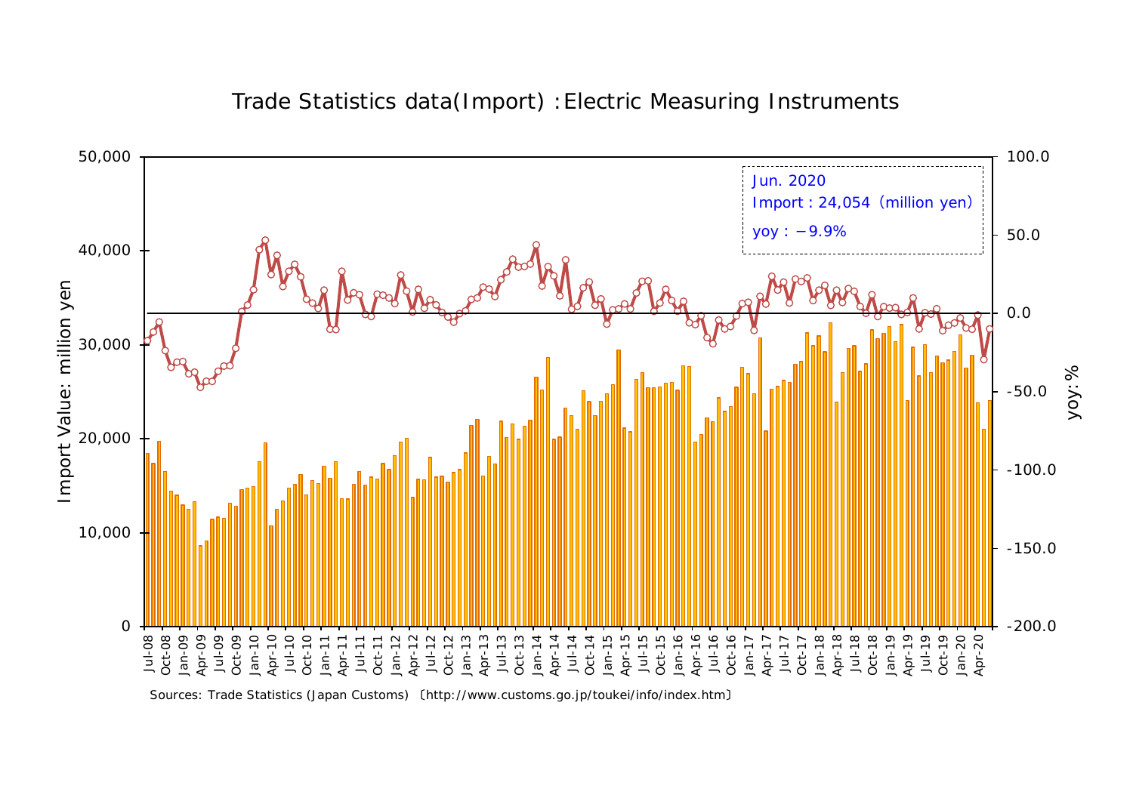

Trade Statistics data(Import) :Electric Measuring Instruments

Sources: Trade Statistics (Japan Customs) 〔http://www.customs.go.jp/toukei/info/index.htm〕